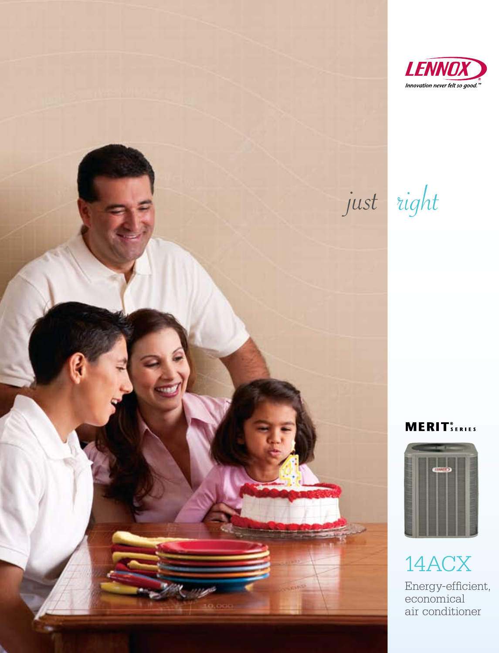

just right

## **MERIT** SERIES



14ACX Energy-efficient, economical air conditioner